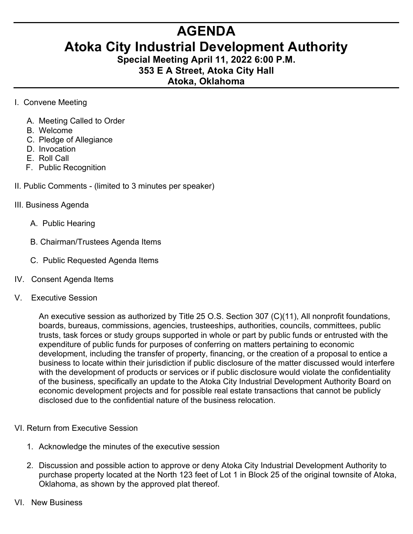## **AGENDA**

## **Atoka City Industrial Development Authority**

**Special Meeting April 11, 2022 6:00 P.M. 353 E A Street, Atoka City Hall**

## **Atoka, Oklahoma**

- I. Convene Meeting
	- A. Meeting Called to Order
	- B. Welcome
	- C. Pledge of Allegiance
	- D. Invocation
	- E. Roll Call
	- F. Public Recognition
- II. Public Comments (limited to 3 minutes per speaker)
- III. Business Agenda
	- A. Public Hearing
	- B. Chairman/Trustees Agenda Items
	- C. Public Requested Agenda Items
- IV. Consent Agenda Items
- V. Executive Session

An executive session as authorized by Title 25 O.S. Section 307 (C)(11), All nonprofit foundations, boards, bureaus, commissions, agencies, trusteeships, authorities, councils, committees, public trusts, task forces or study groups supported in whole or part by public funds or entrusted with the expenditure of public funds for purposes of conferring on matters pertaining to economic development, including the transfer of property, financing, or the creation of a proposal to entice a business to locate within their jurisdiction if public disclosure of the matter discussed would interfere with the development of products or services or if public disclosure would violate the confidentiality of the business, specifically an update to the Atoka City Industrial Development Authority Board on economic development projects and for possible real estate transactions that cannot be publicly disclosed due to the confidential nature of the business relocation.

- VI. Return from Executive Session
	- 1. Acknowledge the minutes of the executive session
	- 2. Discussion and possible action to approve or deny Atoka City Industrial Development Authority to purchase property located at the North 123 feet of Lot 1 in Block 25 of the original townsite of Atoka, Oklahoma, as shown by the approved plat thereof.
- VI. New Business